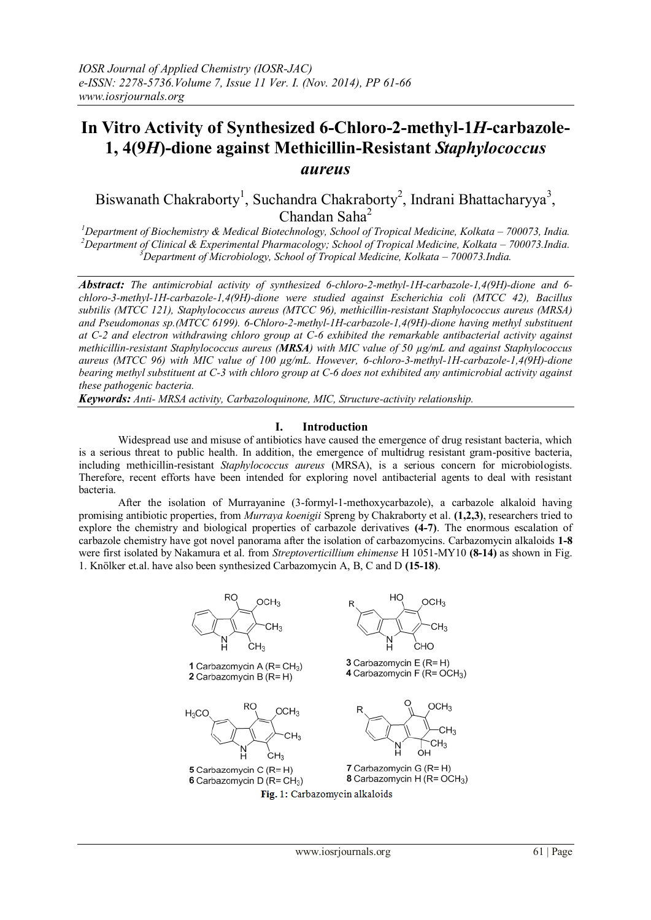# **In Vitro Activity of Synthesized 6-Chloro-2-methyl-1***H***-carbazole-1, 4(9***H***)-dione against Methicillin-Resistant** *Staphylococcus aureus*

Biswanath Chakraborty<sup>1</sup>, Suchandra Chakraborty<sup>2</sup>, Indrani Bhattacharyya<sup>3</sup>, Chandan Saha<sup>2</sup>

<sup>1</sup>Department of Biochemistry & Medical Biotechnology, School of Tropical Medicine, Kolkata – 700073, India. <sup>2</sup>*Department of Clinical & Experimental Pharmacology; School of Tropical Medicine, Kolkata – 700073.India. <sup>3</sup>Department of Microbiology, School of Tropical Medicine, Kolkata – 700073.India.*

*Abstract: The antimicrobial activity of synthesized 6-chloro-2-methyl-1H-carbazole-1,4(9H)-dione and 6 chloro-3-methyl-1H-carbazole-1,4(9H)-dione were studied against Escherichia coli (MTCC 42), Bacillus subtilis (MTCC 121), Staphylococcus aureus (MTCC 96), methicillin-resistant Staphylococcus aureus (MRSA) and Pseudomonas sp.(MTCC 6199). 6-Chloro-2-methyl-1H-carbazole-1,4(9H)-dione having methyl substituent at C-2 and electron withdrawing chloro group at C-6 exhibited the remarkable antibacterial activity against methicillin-resistant Staphylococcus aureus (MRSA) with MIC value of 50 µg/mL and against Staphylococcus aureus (MTCC 96) with MIC value of 100 µg/mL. However, 6-chloro-3-methyl-1H-carbazole-1,4(9H)-dione bearing methyl substituent at C-3 with chloro group at C-6 does not exhibited any antimicrobial activity against these pathogenic bacteria.*

*Keywords: Anti- MRSA activity, Carbazoloquinone, MIC, Structure-activity relationship.*

## **I. Introduction**

Widespread use and misuse of antibiotics have caused the emergence of drug resistant bacteria, which is a serious threat to public health. In addition, the emergence of multidrug resistant gram-positive bacteria, including methicillin-resistant *Staphylococcus aureus* (MRSA), is a serious concern for microbiologists. Therefore, recent efforts have been intended for exploring novel antibacterial agents to deal with resistant bacteria.

After the isolation of Murrayanine (3-formyl-1-methoxycarbazole), a carbazole alkaloid having promising antibiotic properties, from *Murraya koenigii* Spreng by Chakraborty et al. **(1,2,3)**, researchers tried to explore the chemistry and biological properties of carbazole derivatives **(4-7)**. The enormous escalation of carbazole chemistry have got novel panorama after the isolation of carbazomycins. Carbazomycin alkaloids **1-8**  were first isolated by Nakamura et al. from *Streptoverticillium ehimense* H 1051-MY10 **(8-14)** as shown in Fig. 1. Knölker et.al. have also been synthesized Carbazomycin A, B, C and D **(15-18)**.

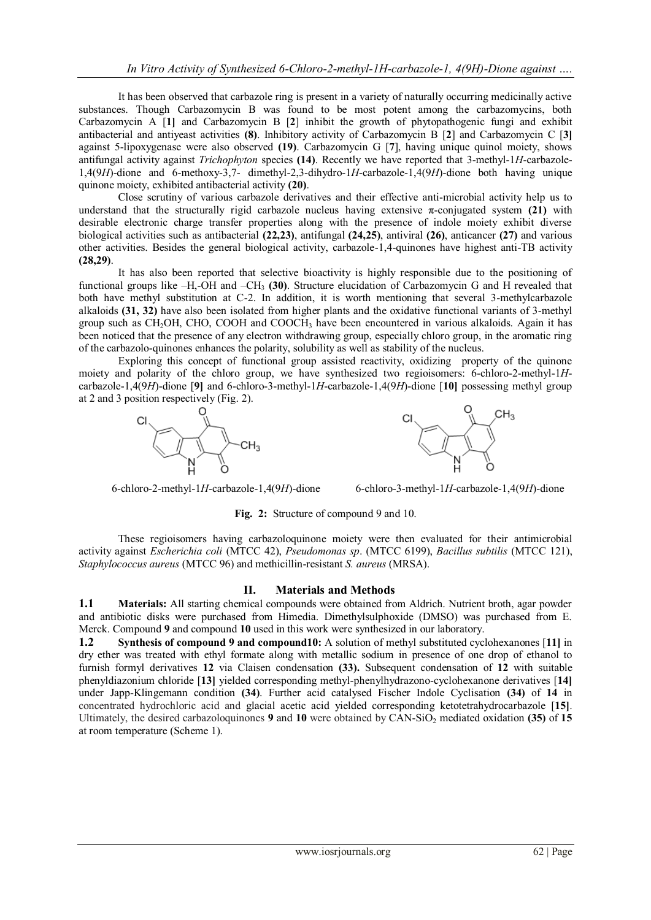It has been observed that carbazole ring is present in a variety of naturally occurring medicinally active substances. Though Carbazomycin B was found to be most potent among the carbazomycins, both Carbazomycin A [**1]** and Carbazomycin B [**2**] inhibit the growth of phytopathogenic fungi and exhibit antibacterial and antiyeast activities **(8)**. Inhibitory activity of Carbazomycin B [**2**] and Carbazomycin C [**3]** against 5-lipoxygenase were also observed **(19)**. Carbazomycin G [**7**], having unique quinol moiety, shows antifungal activity against *Trichophyton* species **(14)**. Recently we have reported that 3-methyl-1*H*-carbazole-1,4(9*H*)-dione and 6-methoxy-3,7- dimethyl-2,3-dihydro-1*H*-carbazole-1,4(9*H*)-dione both having unique quinone moiety, exhibited antibacterial activity **(20)**.

Close scrutiny of various carbazole derivatives and their effective anti-microbial activity help us to understand that the structurally rigid carbazole nucleus having extensive  $\pi$ -conjugated system  $(21)$  with desirable electronic charge transfer properties along with the presence of indole moiety exhibit diverse biological activities such as antibacterial **(22,23)**, antifungal **(24,25)**, antiviral **(26)**, anticancer **(27)** and various other activities. Besides the general biological activity, carbazole-1,4-quinones have highest anti-TB activity **(28,29)**.

It has also been reported that selective bioactivity is highly responsible due to the positioning of functional groups like –H,-OH and –CH<sup>3</sup> **(30)**. Structure elucidation of Carbazomycin G and H revealed that both have methyl substitution at C-2. In addition, it is worth mentioning that several 3-methylcarbazole alkaloids **(31, 32)** have also been isolated from higher plants and the oxidative functional variants of 3-methyl group such as CH2OH, CHO, COOH and COOCH<sup>3</sup> have been encountered in various alkaloids. Again it has been noticed that the presence of any electron withdrawing group, especially chloro group, in the aromatic ring of the carbazolo-quinones enhances the polarity, solubility as well as stability of the nucleus.

Exploring this concept of functional group assisted reactivity, oxidizing property of the quinone moiety and polarity of the chloro group, we have synthesized two regioisomers: 6-chloro-2-methyl-1*H*carbazole-1,4(9*H*)-dione [**9]** and 6-chloro-3-methyl-1*H*-carbazole-1,4(9*H*)-dione [**10]** possessing methyl group at 2 and 3 position respectively (Fig. 2).



6-chloro-2-methyl-1*H*-carbazole-1,4(9*H*)-dione 6-chloro-3-methyl-1*H*-carbazole-1,4(9*H*)-dione

**Fig. 2:** Structure of compound 9 and 10.

These regioisomers having carbazoloquinone moiety were then evaluated for their antimicrobial activity against *Escherichia coli* (MTCC 42), *Pseudomonas sp*. (MTCC 6199), *Bacillus subtilis* (MTCC 121), *Staphylococcus aureus* (MTCC 96) and methicillin-resistant *S. aureus* (MRSA).

## **II. Materials and Methods**

**1.1 Materials:** All starting chemical compounds were obtained from Aldrich. Nutrient broth, agar powder and antibiotic disks were purchased from Himedia. Dimethylsulphoxide (DMSO) was purchased from E. Merck. Compound **9** and compound **10** used in this work were synthesized in our laboratory.

**1.2 Synthesis of compound 9 and compound10:** A solution of methyl substituted cyclohexanones [**11]** in dry ether was treated with ethyl formate along with metallic sodium in presence of one drop of ethanol to furnish formyl derivatives **12** via Claisen condensation **(33).** Subsequent condensation of **12** with suitable phenyldiazonium chloride [**13]** yielded corresponding methyl-phenylhydrazono-cyclohexanone derivatives [**14]** under Japp-Klingemann condition **(34)**. Further acid catalysed Fischer Indole Cyclisation **(34)** of **14** in concentrated hydrochloric acid and glacial acetic acid yielded corresponding ketotetrahydrocarbazole [**15]**. Ultimately, the desired carbazoloquinones **9** and **10** were obtained by CAN-SiO<sub>2</sub> mediated oxidation (35) of 15 at room temperature (Scheme 1).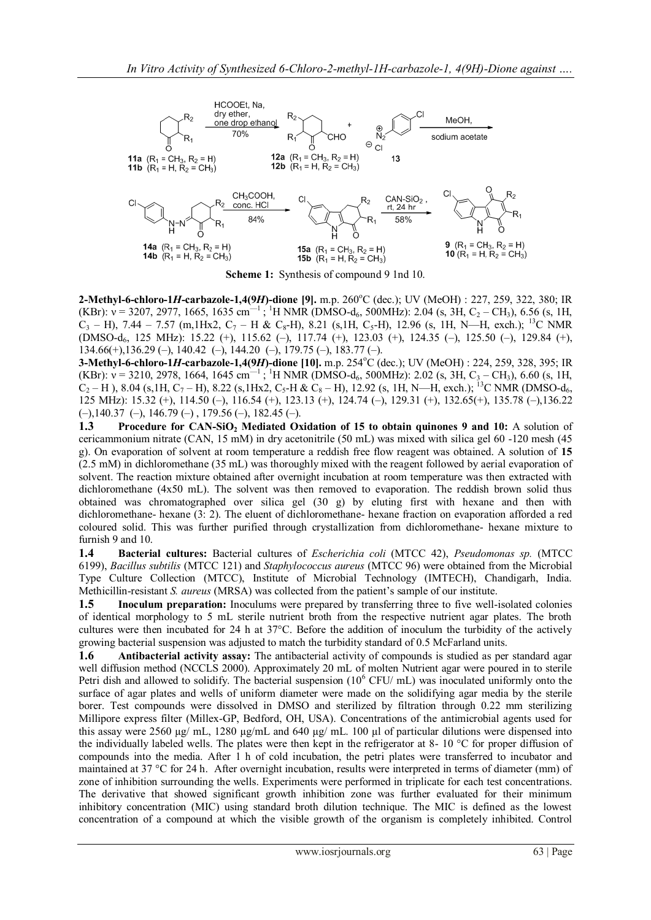

**Scheme 1:** Synthesis of compound 9 1nd 10.

**2-Methyl-6-chloro-1***H***-carbazole-1,4(9***H***)-dione [9]. m.p. 260°C (dec.); UV (MeOH) : 227, 259, 322, 380; IR** (KBr):  $v = 3207, 2977, 1665, 1635 \text{ cm}^{-1}$ ; <sup>1</sup>H NMR (DMSO-d<sub>6</sub>, 500MHz): 2.04 (s, 3H, C<sub>2</sub> – CH<sub>3</sub>), 6.56 (s, 1H,  $C_3$  – H), 7.44 – 7.57 (m,1Hx2,  $C_7$  – H &  $C_8$ -H), 8.21 (s,1H, C<sub>5</sub>-H), 12.96 (s, 1H, N—H, exch.); <sup>13</sup>C NMR (DMSO-d6, 125 MHz): 15.22 (+), 115.62 (–), 117.74 (+), 123.03 (+), 124.35 (–), 125.50 (–), 129.84 (+), 134.66(+),136.29 (–), 140.42 (–), 144.20 (–), 179.75 (–), 183.77 (–).

**3-Methyl-6-chloro-1***H***-carbazole-1,4(9***H***)-dione [10]. m.p. 254°C (dec.); UV (MeOH) : 224, 259, 328, 395; IR** (KBr):  $v = 3210$ , 2978, 1664, 1645 cm<sup>-1</sup>; <sup>1</sup>H NMR (DMSO-d<sub>6</sub>, 500MHz): 2.02 (s, 3H, C<sub>3</sub> – CH<sub>3</sub>), 6.60 (s, 1H,  $C_2-H$ ), 8.04 (s,1H, C<sub>7</sub> – H), 8.22 (s,1Hx2, C<sub>5</sub>-H & C<sub>8</sub> – H), 12.92 (s, 1H, N—H, exch.); <sup>13</sup>C NMR (DMSO-d<sub>6</sub>, 125 MHz): 15.32 (+), 114.50 (–), 116.54 (+), 123.13 (+), 124.74 (–), 129.31 (+), 132.65(+), 135.78 (–),136.22  $(-),140.37$   $(-), 146.79$   $(-), 179.56$   $(-), 182.45$   $(-).$ 

**1.3 Procedure for CAN-SiO<sup>2</sup> Mediated Oxidation of 15 to obtain quinones 9 and 10:** A solution of cericammonium nitrate (CAN, 15 mM) in dry acetonitrile (50 mL) was mixed with silica gel 60 -120 mesh (45 g). On evaporation of solvent at room temperature a reddish free flow reagent was obtained. A solution of **15** (2.5 mM) in dichloromethane (35 mL) was thoroughly mixed with the reagent followed by aerial evaporation of solvent. The reaction mixture obtained after overnight incubation at room temperature was then extracted with dichloromethane (4x50 mL). The solvent was then removed to evaporation. The reddish brown solid thus obtained was chromatographed over silica gel (30 g) by eluting first with hexane and then with dichloromethane- hexane (3: 2). The eluent of dichloromethane- hexane fraction on evaporation afforded a red coloured solid. This was further purified through crystallization from dichloromethane- hexane mixture to furnish 9 and 10.

**1.4 Bacterial cultures:** Bacterial cultures of *Escherichia coli* (MTCC 42), *Pseudomonas sp.* (MTCC 6199), *Bacillus subtilis* (MTCC 121) and *Staphylococcus aureus* (MTCC 96) were obtained from the Microbial Type Culture Collection (MTCC), Institute of Microbial Technology (IMTECH), Chandigarh, India. Methicillin-resistant *S. aureus* (MRSA) was collected from the patient's sample of our institute.

**1.5 Inoculum preparation:** Inoculums were prepared by transferring three to five well-isolated colonies of identical morphology to 5 mL sterile nutrient broth from the respective nutrient agar plates. The broth cultures were then incubated for 24 h at 37°C. Before the addition of inoculum the turbidity of the actively growing bacterial suspension was adjusted to match the turbidity standard of 0.5 McFarland units.

**1.6 Antibacterial activity assay:** The antibacterial activity of compounds is studied as per standard agar well diffusion method (NCCLS 2000). Approximately 20 mL of molten Nutrient agar were poured in to sterile Petri dish and allowed to solidify. The bacterial suspension (10<sup>6</sup> CFU/ mL) was inoculated uniformly onto the surface of agar plates and wells of uniform diameter were made on the solidifying agar media by the sterile borer. Test compounds were dissolved in DMSO and sterilized by filtration through 0.22 mm sterilizing Millipore express filter (Millex-GP, Bedford, OH, USA). Concentrations of the antimicrobial agents used for this assay were 2560 µg/ mL, 1280 µg/mL and 640 µg/ mL. 100 µl of particular dilutions were dispensed into the individually labeled wells. The plates were then kept in the refrigerator at 8- 10  $^{\circ}$ C for proper diffusion of compounds into the media. After 1 h of cold incubation, the petri plates were transferred to incubator and maintained at 37 °C for 24 h. After overnight incubation, results were interpreted in terms of diameter (mm) of zone of inhibition surrounding the wells. Experiments were performed in triplicate for each test concentrations. The derivative that showed significant growth inhibition zone was further evaluated for their minimum inhibitory concentration (MIC) using standard broth dilution technique. The MIC is defined as the lowest concentration of a compound at which the visible growth of the organism is completely inhibited. Control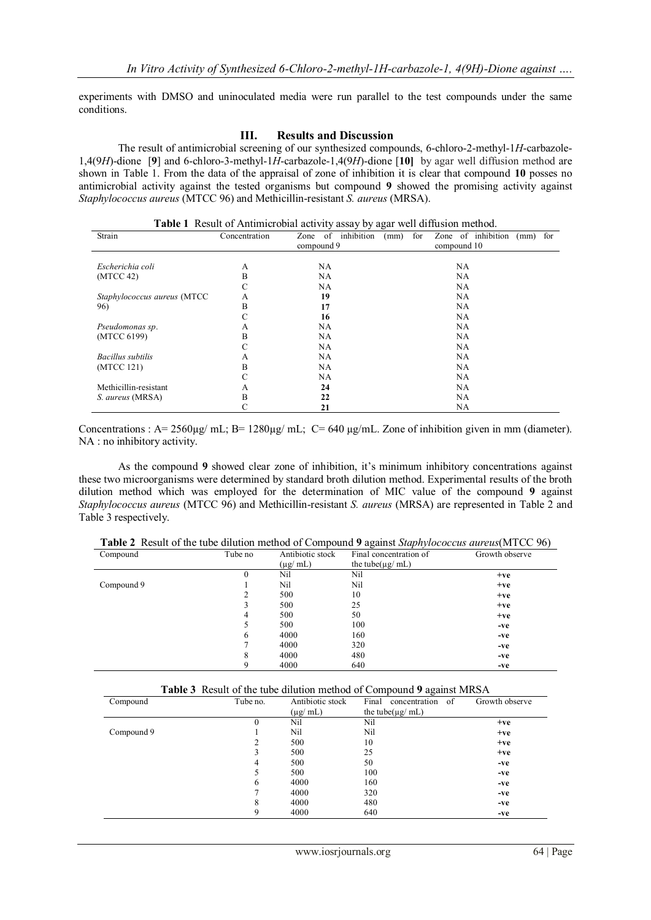experiments with DMSO and uninoculated media were run parallel to the test compounds under the same conditions.

## **III. Results and Discussion**

The result of antimicrobial screening of our synthesized compounds, 6-chloro-2-methyl-1*H*-carbazole-1,4(9*H*)-dione [**9**] and 6-chloro-3-methyl-1*H*-carbazole-1,4(9*H*)-dione [**10]** by agar well diffusion method are shown in Table 1. From the data of the appraisal of zone of inhibition it is clear that compound **10** posses no antimicrobial activity against the tested organisms but compound **9** showed the promising activity against *Staphylococcus aureus* (MTCC 96) and Methicillin-resistant *S. aureus* (MRSA).

| Strain                      | Concentration | Zone of inhibition | for<br>Zone of inhibition<br>for<br>(mm)<br>(mm) |
|-----------------------------|---------------|--------------------|--------------------------------------------------|
|                             | compound 9    |                    | compound 10                                      |
|                             |               |                    |                                                  |
| Escherichia coli            | A             | NA                 | NA.                                              |
| (MTCC 42)                   | B             | NA                 | NA.                                              |
|                             | C             | NA                 | NA.                                              |
| Staphylococcus aureus (MTCC | А             | 19                 | NA.                                              |
| 96)                         | B             | 17                 | NA.                                              |
|                             | C             | 16                 | NA.                                              |
| Pseudomonas sp.             | А             | NA                 | NA.                                              |
| (MTCC 6199)                 | B             | NA                 | NA.                                              |
|                             | C             | NA                 | NA                                               |
| Bacillus subtilis           | А             | NA                 | NA                                               |
| (MTCC 121)                  | B             | NA                 | NA                                               |
|                             | C             | NA                 | NA.                                              |
| Methicillin-resistant       | A             | 24                 | NA.                                              |
| S. aureus (MRSA)            | B             | 22                 | NA.                                              |
|                             |               | 21                 | NA                                               |

**Table 1** Result of Antimicrobial activity assay by agar well diffusion method.

Concentrations : A= 2560µg/ mL; B= 1280µg/ mL; C= 640 µg/mL. Zone of inhibition given in mm (diameter). NA : no inhibitory activity.

As the compound **9** showed clear zone of inhibition, it's minimum inhibitory concentrations against these two microorganisms were determined by standard broth dilution method. Experimental results of the broth dilution method which was employed for the determination of MIC value of the compound **9** against *Staphylococcus aureus* (MTCC 96) and Methicillin-resistant *S. aureus* (MRSA) are represented in Table 2 and Table 3 respectively.

**Table 2** Result of the tube dilution method of Compound **9** against *Staphylococcus aureus*(MTCC 96)

| Compound   | Tube no | Antibiotic stock    | Final concentration of | Growth observe |
|------------|---------|---------------------|------------------------|----------------|
|            |         | $(\mu g/\text{mL})$ | the tube( $\mu$ g/ mL) |                |
|            | 0       | Nil                 | Nil                    | $+ve$          |
| Compound 9 |         | Nil                 | Nil                    | $+ve$          |
|            | 2       | 500                 | 10                     | $+ve$          |
|            | 3       | 500                 | 25                     | $+ve$          |
|            | 4       | 500                 | 50                     | $+ve$          |
|            | 5       | 500                 | 100                    | -ve            |
|            | 6       | 4000                | 160                    | -ve            |
|            |         | 4000                | 320                    | -ve            |
|            | 8       | 4000                | 480                    | -ve            |
|            | 9       | 4000                | 640                    | -ve            |
|            |         |                     |                        |                |

|  |  | Table 3 Result of the tube dilution method of Compound 9 against MRSA |  |  |
|--|--|-----------------------------------------------------------------------|--|--|
|--|--|-----------------------------------------------------------------------|--|--|

| Compound   | Tube no. | Antibiotic stock | Final<br>-of<br>concentration | Growth observe |
|------------|----------|------------------|-------------------------------|----------------|
|            |          | $(\mu g/mL)$     | the tube( $\mu$ g/ mL)        |                |
|            | 0        | Nil              | Nil                           | $+ve$          |
| Compound 9 |          | Nil              | Nil                           | $+ve$          |
|            |          | 500              | 10                            | $+ve$          |
|            |          | 500              | 25                            | $+ve$          |
|            | 4        | 500              | 50                            | -ve            |
|            |          | 500              | 100                           | -ve            |
|            | 6        | 4000             | 160                           | -ve            |
|            |          | 4000             | 320                           | -ve            |
|            | 8        | 4000             | 480                           | -ve            |
|            | 9        | 4000             | 640                           | -ve            |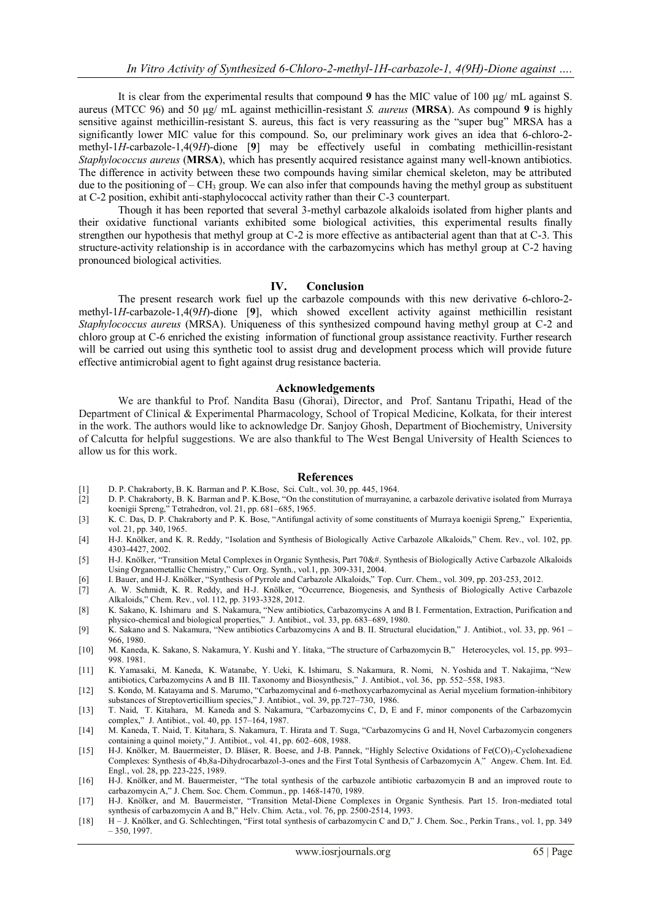It is clear from the experimental results that compound **9** has the MIC value of 100 µg/ mL against S. aureus (MTCC 96) and 50 µg/ mL against methicillin-resistant *S. aureus* (**MRSA**). As compound **9** is highly sensitive against methicillin-resistant S. aureus, this fact is very reassuring as the "super bug" MRSA has a significantly lower MIC value for this compound. So, our preliminary work gives an idea that 6-chloro-2 methyl-1*H*-carbazole-1,4(9*H*)-dione [**9**] may be effectively useful in combating methicillin-resistant *Staphylococcus aureus* (**MRSA**), which has presently acquired resistance against many well-known antibiotics. The difference in activity between these two compounds having similar chemical skeleton, may be attributed due to the positioning of  $-CH_3$  group. We can also infer that compounds having the methyl group as substituent at C-2 position, exhibit anti-staphylococcal activity rather than their C-3 counterpart.

Though it has been reported that several 3-methyl carbazole alkaloids isolated from higher plants and their oxidative functional variants exhibited some biological activities, this experimental results finally strengthen our hypothesis that methyl group at C-2 is more effective as antibacterial agent than that at C-3. This structure-activity relationship is in accordance with the carbazomycins which has methyl group at C-2 having pronounced biological activities.

### **IV. Conclusion**

The present research work fuel up the carbazole compounds with this new derivative 6-chloro-2 methyl-1*H*-carbazole-1,4(9*H*)-dione [**9**], which showed excellent activity against methicillin resistant *Staphylococcus aureus* (MRSA). Uniqueness of this synthesized compound having methyl group at C-2 and chloro group at C-6 enriched the existing information of functional group assistance reactivity. Further research will be carried out using this synthetic tool to assist drug and development process which will provide future effective antimicrobial agent to fight against drug resistance bacteria.

#### **Acknowledgements**

We are thankful to Prof. Nandita Basu (Ghorai), Director, and Prof. Santanu Tripathi, Head of the Department of Clinical & Experimental Pharmacology, School of Tropical Medicine, Kolkata, for their interest in the work. The authors would like to acknowledge Dr. Sanjoy Ghosh, Department of Biochemistry, University of Calcutta for helpful suggestions. We are also thankful to The West Bengal University of Health Sciences to allow us for this work.

#### **References**

- [1] D. P. Chakraborty, B. K. Barman and P. K.Bose, Sci. Cult., vol. 30, pp. 445, 1964.
- [2] D. P. Chakraborty, B. K. Barman and P. K. Bose, "On the constitution of murrayanine, a carbazole derivative isolated from Murraya koenigii Spreng," Tetrahedron, vol. 21, pp. 681–685, 1965.
- [3] K. C. Das, D. P. Chakraborty and P. K. Bose, "Antifungal activity of some constituents of Murraya koenigii Spreng," Experientia, vol. 21, pp. 340, 1965.
- [4] H-J. Knölker, and K. R. Reddy, "Isolation and Synthesis of Biologically Active Carbazole Alkaloids," Chem. Rev., vol. 102, pp. 4303-4427, 2002.
- [5] H-J. Knölker, "Transition Metal Complexes in Organic Synthesis, Part 70&#. Synthesis of Biologically Active Carbazole Alkaloids Using Organometallic Chemistry," Curr. Org. Synth., vol.1, pp. 309-331, 2004.
- [6] [I. Bauer,](http://link.springer.com/search?facet-author=%22Ingmar+Bauer%22) an[d H-J. Knölker](http://link.springer.com/search?facet-author=%22Hans-Joachim+Kn%C3%B6lker%22), "Synthesis of Pyrrole and Carbazole Alkaloids," Top. Curr. Chem., vol. 309, pp. 203-253, 2012.<br>[7] A. W. Schmidt, K. R. Reddy, and H-J. Knölker, "Occurrence, Biogenesis, and Synthesis of Bio
- A. W. Schmidt, K. R. Reddy, and H-J. Knölker, "Occurrence, Biogenesis, and Synthesis of Biologically Active Carbazole Alkaloids," Chem. Rev., vol. 112, pp. 3193-3328, 2012.
- [8] K. Sakano, K. Ishimaru and S. Nakamura, "New antibiotics, Carbazomycins A and B I. Fermentation, Extraction, Purification and physico-chemical and biological properties,‖ J. Antibiot., vol. 33, pp. 683–689, 1980.
- [9] K. Sakano and S. Nakamura, "New antibiotics Carbazomycins A and B. II. Structural elucidation," J. Antibiot., vol. 33, pp. 961 966, 1980.
- [10] M. Kaneda, K. Sakano, S. Nakamura, Y. Kushi and Y. Iitaka, "The structure of Carbazomycin B," Heterocycles, vol. 15, pp. 993– 998. 1981.
- [11] K. Yamasaki, M. Kaneda, K. Watanabe, Y. Ueki, K. Ishimaru, S. Nakamura, R. Nomi, N. Yoshida and T. Nakajima, "New antibiotics, Carbazomycins A and B III. Taxonomy and Biosynthesis," J. Antibiot., vol. 36, pp. 552–558, 1983.
- [12] S. Kondo, M. Katayama and S. Marumo, "Carbazomycinal and 6-methoxycarbazomycinal as Aerial mycelium formation-inhibitory substances of Streptoverticillium species," J. Antibiot., vol. 39, pp.727-730, 1986.
- [13] T. Naid, T. Kitahara, M. Kaneda and S. Nakamura, "Carbazomycins C, D, E and F, minor components of the Carbazomycin complex," J. Antibiot., vol. 40, pp. 157-164, 1987.
- [14] M. Kaneda, T. Naid, T. Kitahara, S. Nakamura, T. Hirata and T. Suga, "Carbazomycins G and H, Novel Carbazomycin congeners containing a quinol moiety," J. Antibiot., vol.  $41$ , pp. 602–608, 1988.
- [15] H-J. Knölker, M. Bauermeister, D. Bläser, R. Boese, and J-B. Pannek, "Highly Selective Oxidations of Fe(CO)<sub>3</sub>-Cyclohexadiene Complexes: Synthesis of 4b,8a-Dihydrocarbazol-3-ones and the First Total Synthesis of Carbazomycin A<sup>"</sup> Angew. Chem. Int. Ed. Engl., vol. 28, pp. 223-225, 1989.
- [16] [H-J. Knölker,](http://pubs.rsc.org/en/results?searchtext=Author%3AHans-Joachim%20Kn%C3%B6lker) and [M. Bauermeister](http://pubs.rsc.org/en/results?searchtext=Author%3AMichael%20Bauermeister), "The total synthesis of the carbazole antibiotic carbazomycin B and an improved route to carbazomycin A," J. Chem. Soc. Chem. Commun., pp. 1468-1470, 1989.
- [17] H-J. Knölker, and M. Bauermeister, "Transition Metal-Diene Complexes in Organic Synthesis. Part 15. Iron-mediated total synthesis of carbazomycin A and B," Helv. Chim. Acta., vol. 76, pp. 2500-2514, 1993.
- [18] H J. Knölker, and G. Schlechtingen, "First total synthesis of carbazomycin C and D," J. Chem. Soc., Perkin Trans., vol. 1, pp. 349 – 350, 1997.